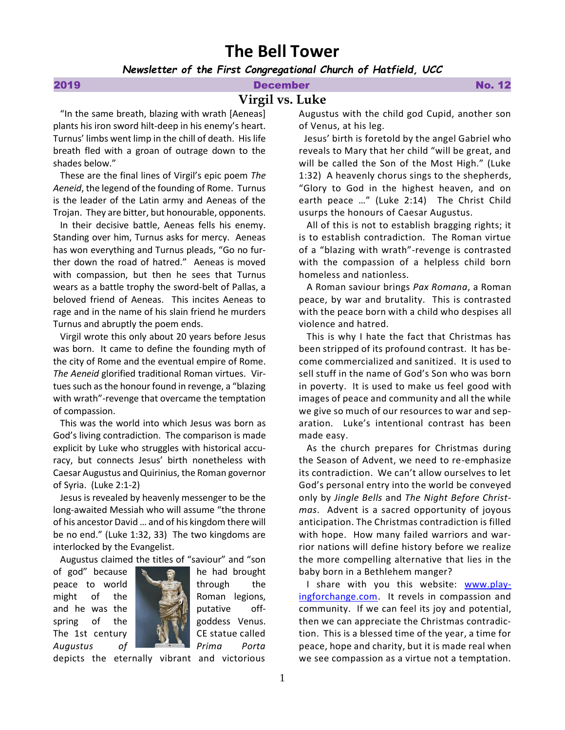# **The Bell Tower**

*Newsletter of the First Congregational Church of Hatfield, UCC*

# 2019 December No. 12

# **Virgil vs. Luke**

 "In the same breath, blazing with wrath [Aeneas] plants his iron sword hilt-deep in his enemy's heart. Turnus' limbs went limp in the chill of death. His life breath fled with a groan of outrage down to the shades below."

 These are the final lines of Virgil's epic poem *The Aeneid*, the legend of the founding of Rome. Turnus is the leader of the Latin army and Aeneas of the Trojan. They are bitter, but honourable, opponents.

 In their decisive battle, Aeneas fells his enemy. Standing over him, Turnus asks for mercy. Aeneas has won everything and Turnus pleads, "Go no further down the road of hatred." Aeneas is moved with compassion, but then he sees that Turnus wears as a battle trophy the sword-belt of Pallas, a beloved friend of Aeneas. This incites Aeneas to rage and in the name of his slain friend he murders Turnus and abruptly the poem ends.

 Virgil wrote this only about 20 years before Jesus was born. It came to define the founding myth of the city of Rome and the eventual empire of Rome. *The Aeneid* glorified traditional Roman virtues. Virtues such as the honour found in revenge, a "blazing with wrath"-revenge that overcame the temptation of compassion.

 This was the world into which Jesus was born as God's living contradiction. The comparison is made explicit by Luke who struggles with historical accuracy, but connects Jesus' birth nonetheless with Caesar Augustus and Quirinius, the Roman governor of Syria. (Luke 2:1-2)

 Jesus is revealed by heavenly messenger to be the long-awaited Messiah who will assume "the throne of his ancestor David … and of his kingdom there will be no end." (Luke 1:32, 33) The two kingdoms are interlocked by the Evangelist.

Augustus claimed the titles of "saviour" and "son





depicts the eternally vibrant and victorious

Augustus with the child god Cupid, another son of Venus, at his leg.

 Jesus' birth is foretold by the angel Gabriel who reveals to Mary that her child "will be great, and will be called the Son of the Most High." (Luke 1:32) A heavenly chorus sings to the shepherds, "Glory to God in the highest heaven, and on earth peace …" (Luke 2:14) The Christ Child usurps the honours of Caesar Augustus.

 All of this is not to establish bragging rights; it is to establish contradiction. The Roman virtue of a "blazing with wrath"-revenge is contrasted with the compassion of a helpless child born homeless and nationless.

 A Roman saviour brings *Pax Romana*, a Roman peace, by war and brutality. This is contrasted with the peace born with a child who despises all violence and hatred.

 This is why I hate the fact that Christmas has been stripped of its profound contrast. It has become commercialized and sanitized. It is used to sell stuff in the name of God's Son who was born in poverty. It is used to make us feel good with images of peace and community and all the while we give so much of our resources to war and separation. Luke's intentional contrast has been made easy.

 As the church prepares for Christmas during the Season of Advent, we need to re-emphasize its contradiction. We can't allow ourselves to let God's personal entry into the world be conveyed only by *Jingle Bells* and *The Night Before Christmas*. Advent is a sacred opportunity of joyous anticipation. The Christmas contradiction is filled with hope. How many failed warriors and warrior nations will define history before we realize the more compelling alternative that lies in the baby born in a Bethlehem manger?

I share with you this website: [www.play](http://www.playingforchange.com/)[ingforchange.com.](http://www.playingforchange.com/) It revels in compassion and community. If we can feel its joy and potential, then we can appreciate the Christmas contradiction. This is a blessed time of the year, a time for peace, hope and charity, but it is made real when we see compassion as a virtue not a temptation.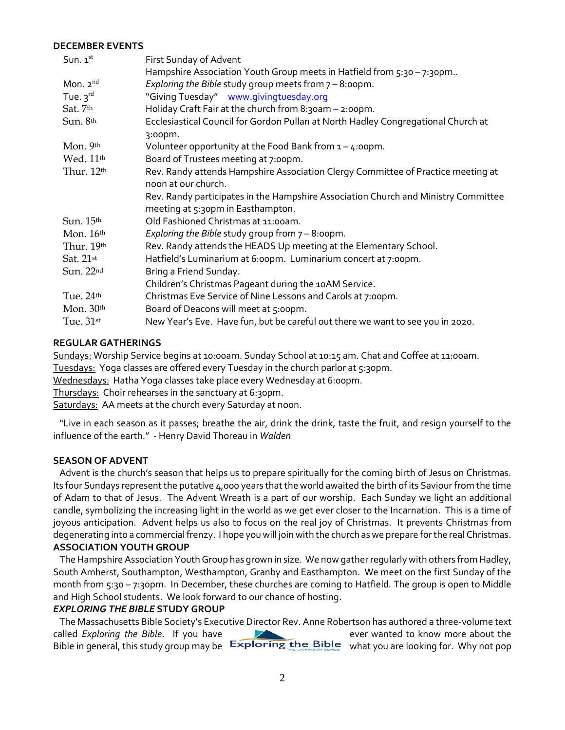#### **DECEMBER EVENTS**

| Sun. $1st$              | First Sunday of Advent                                                                                                  |
|-------------------------|-------------------------------------------------------------------------------------------------------------------------|
|                         | Hampshire Association Youth Group meets in Hatfield from $5:30 - 7:30$ pm                                               |
| Mon. $2^{nd}$           | Exploring the Bible study group meets from $7 - 8$ :00pm.                                                               |
| Tue. $3^{rd}$           | "Giving Tuesday" www.givingtuesday.org                                                                                  |
| Sat. 7th                | Holiday Craft Fair at the church from $8:30$ am $-2:00$ pm.                                                             |
| Sun. 8th                | Ecclesiastical Council for Gordon Pullan at North Hadley Congregational Church at                                       |
|                         | 3:00pm.                                                                                                                 |
| Mon. 9th                | Volunteer opportunity at the Food Bank from $1 - 4$ :00pm.                                                              |
| Wed. 11 <sup>th</sup>   | Board of Trustees meeting at 7:00pm.                                                                                    |
| Thur. 12th              | Rev. Randy attends Hampshire Association Clergy Committee of Practice meeting at<br>noon at our church.                 |
|                         | Rev. Randy participates in the Hampshire Association Church and Ministry Committee<br>meeting at 5:30pm in Easthampton. |
| Sun. 15th               | Old Fashioned Christmas at 11:00am.                                                                                     |
| Mon. 16th               | Exploring the Bible study group from $7 - 8$ :00pm.                                                                     |
| Thur. $19th$            | Rev. Randy attends the HEADS Up meeting at the Elementary School.                                                       |
| Sat. $21$ <sup>st</sup> | Hatfield's Luminarium at 6:00pm. Luminarium concert at 7:00pm.                                                          |
| Sun. 22nd               | Bring a Friend Sunday.                                                                                                  |
|                         | Children's Christmas Pageant during the 10AM Service.                                                                   |
| Tue. 24th               | Christmas Eve Service of Nine Lessons and Carols at 7:00pm.                                                             |
| Mon. $30th$             | Board of Deacons will meet at 5:00pm.                                                                                   |
| Tue. $31st$             | New Year's Eve. Have fun, but be careful out there we want to see you in 2020.                                          |

### **REGULAR GATHERINGS**

Sundays: Worship Service begins at 10:00am. Sunday School at 10:15 am. Chat and Coffee at 11:00am. Tuesdays: Yoga classes are offered every Tuesday in the church parlor at 5:30pm.

Wednesdays: Hatha Yoga classes take place every Wednesday at 6:00pm.

Thursdays: Choir rehearses in the sanctuary at 6:30pm.

Saturdays: AA meets at the church every Saturday at noon.

"Live in each season as it passes; breathe the air, drink the drink, taste the fruit, and resign yourself to the influence of the earth." - Henry David Thoreau in *Walden*

#### **SEASON OF ADVENT**

Advent is the church's season that helps us to prepare spiritually for the coming birth of Jesus on Christmas. Its four Sundays represent the putative 4,000 years that the world awaited the birth of its Saviour from the time of Adam to that of Jesus. The Advent Wreath is a part of our worship. Each Sunday we light an additional candle, symbolizing the increasing light in the world as we get ever closer to the Incarnation. This is a time of joyous anticipation. Advent helps us also to focus on the real joy of Christmas. It prevents Christmas from degenerating into a commercial frenzy. I hope you will join with the church as we prepare for the real Christmas. **ASSOCIATION YOUTH GROUP**

The Hampshire Association Youth Group has grown in size. We now gather regularly with others from Hadley, South Amherst, Southampton, Westhampton, Granby and Easthampton. We meet on the first Sunday of the month from 5:30 - 7:30pm. In December, these churches are coming to Hatfield. The group is open to Middle and High School students. We look forward to our chance of hosting.

# *EXPLORING THE BIBLE* **STUDY GROUP**

The Massachusetts Bible Society's Executive Director Rev. Anne Robertson has authored a three-volume text called *Exploring the Bible*. If you have ever wanted to know more about the Bible in general, this study group may be  $\frac{1}{2}$  Exploring the Bible what you are looking for. Why not pop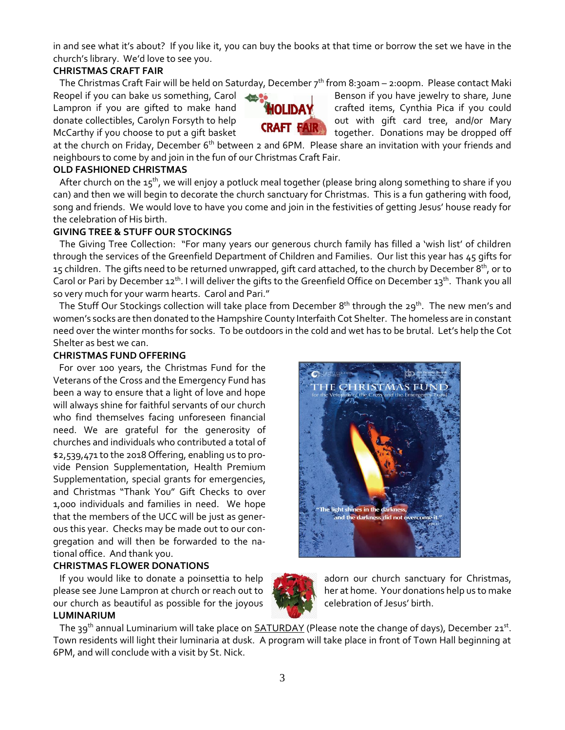in and see what it's about? If you like it, you can buy the books at that time or borrow the set we have in the church's library. We'd love to see you.

# **CHRISTMAS CRAFT FAIR**

The Christmas Craft Fair will be held on Saturday, December 7<sup>th</sup> from 8:30am - 2:00pm. Please contact Maki

Reopel if you can bake us something, Carol Benson if you have jewelry to share, June Lampron if you are gifted to make hand **CHOLIDAY** crafted items, Cynthia Pica if you could donate collectibles, Carolyn Forsyth to help **CRAFT FAIR** out with gift card tree, and/or Mary

McCarthy if you choose to put a gift basket **ARALL TAIN.** together. Donations may be dropped off

at the church on Friday, December 6<sup>th</sup> between 2 and 6PM. Please share an invitation with your friends and neighbours to come by and join in the fun of our Christmas Craft Fair.

# **OLD FASHIONED CHRISTMAS**

After church on the 15<sup>th</sup>, we will enjoy a potluck meal together (please bring along something to share if you can) and then we will begin to decorate the church sanctuary for Christmas. This is a fun gathering with food, song and friends. We would love to have you come and join in the festivities of getting Jesus' house ready for the celebration of His birth.

# **GIVING TREE & STUFF OUR STOCKINGS**

The Giving Tree Collection: "For many years our generous church family has filled a 'wish list' of children through the services of the Greenfield Department of Children and Families. Our list this year has 45 gifts for 15 children. The gifts need to be returned unwrapped, gift card attached, to the church by December  $8^{\rm th}$ , or to Carol or Pari by December 12<sup>th</sup>. I will deliver the gifts to the Greenfield Office on December 13<sup>th</sup>. Thank you all so very much for your warm hearts. Carol and Pari."

The Stuff Our Stockings collection will take place from December 8<sup>th</sup> through the 29<sup>th</sup>. The new men's and women's socks are then donated to the Hampshire County Interfaith Cot Shelter. The homeless are in constant need over the winter months for socks. To be outdoors in the cold and wet has to be brutal. Let's help the Cot Shelter as best we can.

### **CHRISTMAS FUND OFFERING**

 For over 100 years, the Christmas Fund for the Veterans of the Cross and the Emergency Fund has been a way to ensure that a light of love and hope will always shine for faithful servants of our church who find themselves facing unforeseen financial need. We are grateful for the generosity of churches and individuals who contributed a total of \$2,539,471 to the 2018 Offering, enabling us to provide Pension Supplementation, Health Premium Supplementation, special grants for emergencies, and Christmas "Thank You" Gift Checks to over 1,000 individuals and families in need. We hope that the members of the UCC will be just as generous this year. Checks may be made out to our congregation and will then be forwarded to the national office. And thank you.

# **CHRISTMAS FLOWER DONATIONS**

If you would like to donate a poinsettia to help and adorn our church sanctuary for Christmas, please see June Lampron at church or reach out to her at home. Your donations help us to make our church as beautiful as possible for the joyous celebration of Jesus' birth.

#### **LUMINARIUM**

The 39<sup>th</sup> annual Luminarium will take place on **SATURDAY** (Please note the change of days), December 21<sup>st</sup>. Town residents will light their luminaria at dusk. A program will take place in front of Town Hall beginning at 6PM, and will conclude with a visit by St. Nick.



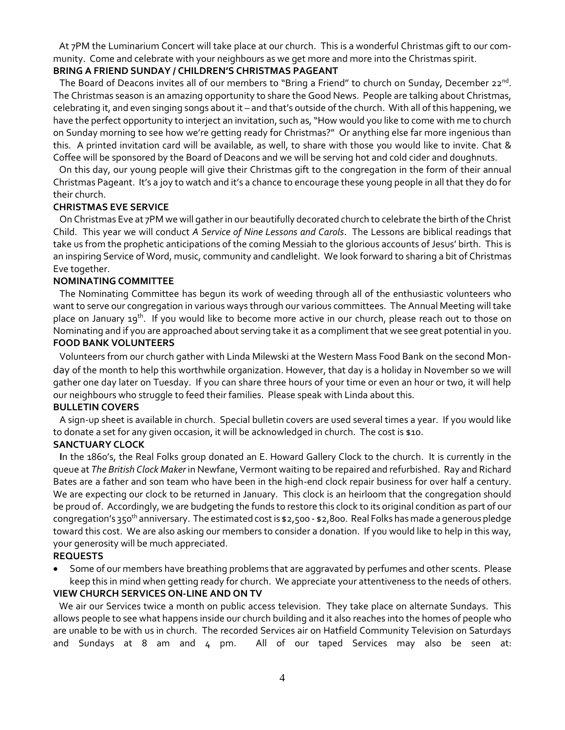At 7PM the Luminarium Concert will take place at our church. This is a wonderful Christmas gift to our community. Come and celebrate with your neighbours as we get more and more into the Christmas spirit.

# **BRING A FRIEND SUNDAY / CHILDREN'S CHRISTMAS PAGEANT**

The Board of Deacons invites all of our members to "Bring a Friend" to church on Sunday, December 22<sup>nd</sup>. The Christmas season is an amazing opportunity to share the Good News. People are talking about Christmas, celebrating it, and even singing songs about it – and that's outside of the church. With all of this happening, we have the perfect opportunity to interject an invitation, such as, "How would you like to come with me to church on Sunday morning to see how we're getting ready for Christmas?" Or anything else far more ingenious than this. A printed invitation card will be available, as well, to share with those you would like to invite. Chat & Coffee will be sponsored by the Board of Deacons and we will be serving hot and cold cider and doughnuts.

 On this day, our young people will give their Christmas gift to the congregation in the form of their annual Christmas Pageant. It's a joy to watch and it's a chance to encourage these young people in all that they do for their church.

### **CHRISTMAS EVE SERVICE**

On Christmas Eve at 7PM we will gather in our beautifully decorated church to celebrate the birth of the Christ Child. This year we will conduct *A Service of Nine Lessons and Carols*. The Lessons are biblical readings that take us from the prophetic anticipations of the coming Messiah to the glorious accounts of Jesus' birth. This is an inspiring Service of Word, music, community and candlelight. We look forward to sharing a bit of Christmas Eve together.

### **NOMINATING COMMITTEE**

The Nominating Committee has begun its work of weeding through all of the enthusiastic volunteers who want to serve our congregation in various ways through our various committees. The Annual Meeting will take place on January 19<sup>th</sup>. If you would like to become more active in our church, please reach out to those on Nominating and if you are approached about serving take it as a compliment that we see great potential in you. **FOOD BANK VOLUNTEERS**

Volunteers from our church gather with Linda Milewski at the Western Mass Food Bank on the second Monday of the month to help this worthwhile organization. However, that day is a holiday in November so we will gather one day later on Tuesday. If you can share three hours of your time or even an hour or two, it will help our neighbours who struggle to feed their families. Please speak with Linda about this.

#### **BULLETIN COVERS**

A sign-up sheet is available in church. Special bulletin covers are used several times a year. If you would like to donate a set for any given occasion, it will be acknowledged in church. The cost is \$10.

#### **SANCTUARY CLOCK**

 **I**n the 1860's, the Real Folks group donated an E. Howard Gallery Clock to the church. It is currently in the queue at *The British Clock Maker* in Newfane, Vermont waiting to be repaired and refurbished. Ray and Richard Bates are a father and son team who have been in the high-end clock repair business for over half a century. We are expecting our clock to be returned in January. This clock is an heirloom that the congregation should be proud of. Accordingly, we are budgeting the funds to restore this clock to its original condition as part of our congregation's 350th anniversary. The estimated cost is \$2,500 - \$2,800. Real Folks has made a generous pledge toward this cost. We are also asking our members to consider a donation. If you would like to help in this way, your generosity will be much appreciated.

# **REQUESTS**

• Some of our members have breathing problems that are aggravated by perfumes and other scents. Please keep this in mind when getting ready for church. We appreciate your attentiveness to the needs of others.

# **VIEW CHURCH SERVICES ON-LINE AND ON TV**

 We air our Services twice a month on public access television. They take place on alternate Sundays. This allows people to see what happens inside our church building and it also reaches into the homes of people who are unable to be with us in church. The recorded Services air on Hatfield Community Television on Saturdays and Sundays at 8 am and 4 pm. All of our taped Services may also be seen at: